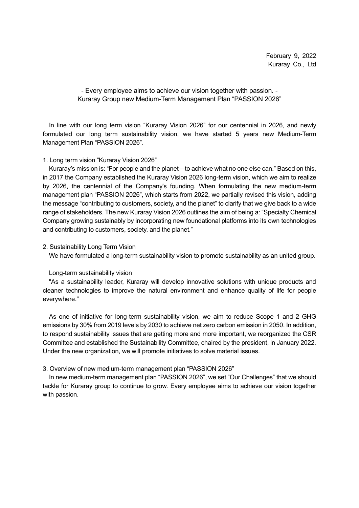- Every employee aims to achieve our vision together with passion. - Kuraray Group new Medium-Term Management Plan "PASSION 2026"

In line with our long term vision "Kuraray Vision 2026" for our centennial in 2026, and newly formulated our long term sustainability vision, we have started 5 years new Medium-Term Management Plan "PASSION 2026".

#### 1. Long term vision "Kuraray Vision 2026"

Kuraray's mission is: "For people and the planet—to achieve what no one else can." Based on this, in 2017 the Company established the Kuraray Vision 2026 long-term vision, which we aim to realize by 2026, the centennial of the Company's founding. When formulating the new medium-term management plan "PASSION 2026", which starts from 2022, we partially revised this vision, adding the message "contributing to customers, society, and the planet" to clarify that we give back to a wide range of stakeholders. The new Kuraray Vision 2026 outlines the aim of being a: "Specialty Chemical Company growing sustainably by incorporating new foundational platforms into its own technologies and contributing to customers, society, and the planet."

#### 2. Sustainability Long Term Vision

We have formulated a long-term sustainability vision to promote sustainability as an united group.

#### Long-term sustainability vision

"As a sustainability leader, Kuraray will develop innovative solutions with unique products and cleaner technologies to improve the natural environment and enhance quality of life for people everywhere."

As one of initiative for long-term sustainability vision, we aim to reduce Scope 1 and 2 GHG emissions by 30% from 2019 levels by 2030 to achieve net zero carbon emission in 2050. In addition, to respond sustainability issues that are getting more and more important, we reorganized the CSR Committee and established the Sustainability Committee, chaired by the president, in January 2022. Under the new organization, we will promote initiatives to solve material issues.

#### 3. Overview of new medium-term management plan "PASSION 2026"

In new medium-term management plan "PASSION 2026", we set "Our Challenges" that we should tackle for Kuraray group to continue to grow. Every employee aims to achieve our vision together with passion.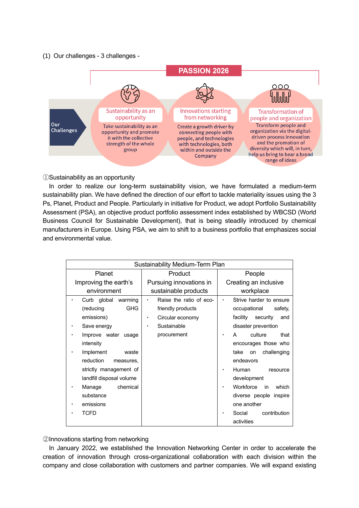#### (1) Our challenges - 3 challenges -



①Sustainability as an opportunity

In order to realize our long-term sustainability vision, we have formulated a medium-term sustainability plan. We have defined the direction of our effort to tackle materiality issues using the 3 Ps, Planet, Product and People. Particularly in initiative for Product, we adopt Portfolio Sustainability Assessment (PSA), an objective product portfolio assessment index established by WBCSD (World Business Council for Sustainable Development), that is being steadily introduced by chemical manufacturers in Europe. Using PSA, we aim to shift to a business portfolio that emphasizes social and environmental value.

| Sustainability Medium-Term Plan |                                      |                             |  |  |  |
|---------------------------------|--------------------------------------|-----------------------------|--|--|--|
| Planet                          | Product                              | People                      |  |  |  |
| Improving the earth's           | Pursuing innovations in              | Creating an inclusive       |  |  |  |
| environment                     | sustainable products                 | workplace                   |  |  |  |
| Curb global<br>warming          | Raise the ratio of eco-<br>$\bullet$ | Strive harder to ensure     |  |  |  |
| (reducing<br><b>GHG</b>         | friendly products                    | occupational<br>safety,     |  |  |  |
| emissions)                      | Circular economy<br>٠                | security<br>facility<br>and |  |  |  |
| Save energy<br>٠                | Sustainable<br>٠                     | disaster prevention         |  |  |  |
| Improve water<br>usage          | procurement                          | culture<br>that<br>A        |  |  |  |
| intensity                       |                                      | encourages those who        |  |  |  |
| Implement<br>waste              |                                      | challenging<br>take<br>on   |  |  |  |
| reduction<br>measures,          |                                      | endeavors                   |  |  |  |
| strictly management of          |                                      | Human<br>resource           |  |  |  |
| landfill disposal volume        |                                      | development                 |  |  |  |
| chemical<br>Manage              |                                      | Workforce<br>which<br>in    |  |  |  |
| substance                       |                                      | diverse people inspire      |  |  |  |
| emissions                       |                                      | one another                 |  |  |  |
| TCFD                            |                                      | Social<br>contribution      |  |  |  |
|                                 |                                      | activities                  |  |  |  |

②Innovations starting from networking

In January 2022, we established the Innovation Networking Center in order to accelerate the creation of innovation through cross-organizational collaboration with each division within the company and close collaboration with customers and partner companies. We will expand existing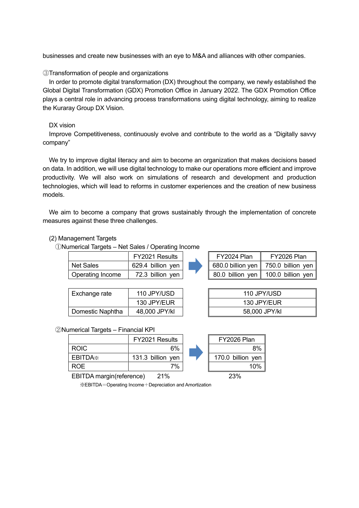businesses and create new businesses with an eye to M&A and alliances with other companies.

## ③Transformation of people and organizations

In order to promote digital transformation (DX) throughout the company, we newly established the Global Digital Transformation (GDX) Promotion Office in January 2022. The GDX Promotion Office plays a central role in advancing process transformations using digital technology, aiming to realize the Kuraray Group DX Vision.

## DX vision

Improve Competitiveness, continuously evolve and contribute to the world as a "Digitally savvy company"

We try to improve digital literacy and aim to become an organization that makes decisions based on data. In addition, we will use digital technology to make our operations more efficient and improve productivity. We will also work on simulations of research and development and production technologies, which will lead to reforms in customer experiences and the creation of new business models.

We aim to become a company that grows sustainably through the implementation of concrete measures against these three challenges.

## (2) Management Targets

①Numerical Targets – Net Sales / Operating Income

|                  | FY2021 Results    |  | FY2024 Plan | FY2026 Plan                           |
|------------------|-------------------|--|-------------|---------------------------------------|
| <b>Net Sales</b> | 629.4 billion yen |  |             | 680.0 billion yen   750.0 billion yen |
| Operating Income | 72.3 billion yen  |  |             | 80.0 billion yen   100.0 billion yen  |
|                  |                   |  |             |                                       |

110 JPY/USD 130 JPY/EUR 130 JPY/EUR 58,000 JPY/kl

| Exchange rate    | 110 JPY/USD   |  |  |  |
|------------------|---------------|--|--|--|
|                  | 130 JPY/EUR   |  |  |  |
| Domestic Naphtha | 48,000 JPY/kl |  |  |  |

#### ②Numerical Targets – Financial KPI

|                     | FY2021 Results    | FY2026 Plan       |
|---------------------|-------------------|-------------------|
| <b>ROIC</b>         | 6%                | 8%                |
| EBITDA <sup>*</sup> | 131.3 billion yen | 170.0 billion yen |
| <b>ROE</b>          | 7%                | 10%               |

EBITDA margin(reference) 21% 23%

※EBITDA=Operating Income+Depreciation and Amortization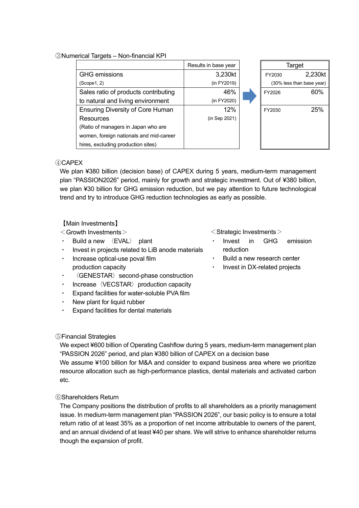## ③Numerical Targets – Non-financial KPI

|                                         | Results in base year |                           | Target  |
|-----------------------------------------|----------------------|---------------------------|---------|
| <b>GHG</b> emissions                    | 3,230kt              | FY2030                    | 2,230kt |
| (Scope 1, 2)                            | (in FY2019)          | (30% less than base year) |         |
| Sales ratio of products contributing    | 46%                  | FY2026                    | 60%     |
| to natural and living environment       | (in FY2020)          |                           |         |
| <b>Ensuring Diversity of Core Human</b> | 12%                  | FY2030                    | 25%     |
| Resources                               | (in Sep 2021)        |                           |         |
| (Ratio of managers in Japan who are     |                      |                           |         |
| women, foreign nationals and mid-career |                      |                           |         |
| hires, excluding production sites)      |                      |                           |         |

## ④CAPEX

We plan ¥380 billion (decision base) of CAPEX during 5 years, medium-term management plan "PASSION2026" period, mainly for growth and strategic investment. Out of ¥380 billion, we plan ¥30 billion for GHG emission reduction, but we pay attention to future technological trend and try to introduce GHG reduction technologies as early as possible.

# 【Main Investments】

 $<$ Growth Investments $>$ 

- Build a new 〈EVAL〉 plant
- Invest in projects related to LiB anode materials
- Increase optical-use poval film production capacity
- ・ 〈GENESTAR〉second-phase construction
- Increase  $\langle$ VECSTAR $\rangle$  production capacity
- Expand facilities for water-soluble PVA film
- ・ New plant for liquid rubber
- Expand facilities for dental materials

<Strategic Investments>

- Invest in GHG emission reduction
- Build a new research center
- Invest in DX-related projects

#### ⑤Financial Strategies

We expect ¥600 billion of Operating Cashflow during 5 years, medium-term management plan "PASSION 2026" period, and plan ¥380 billion of CAPEX on a decision base

We assume ¥100 billion for M&A and consider to expand business area where we prioritize resource allocation such as high-performance plastics, dental materials and activated carbon etc.

# ⑥Shareholders Return

The Company positions the distribution of profits to all shareholders as a priority management issue. In medium-term management plan "PASSION 2026", our basic policy is to ensure a total return ratio of at least 35% as a proportion of net income attributable to owners of the parent, and an annual dividend of at least ¥40 per share. We will strive to enhance shareholder returns though the expansion of profit.